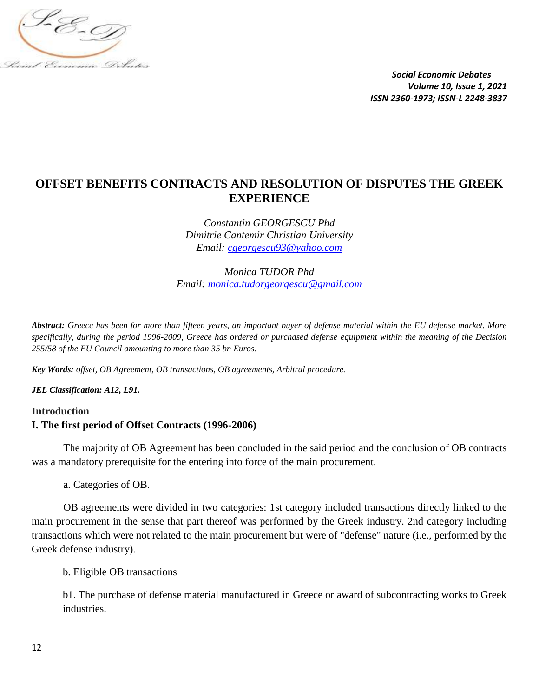

# **OFFSET BENEFITS CONTRACTS AND RESOLUTION OF DISPUTES THE GREEK EXPERIENCE**

*Constantin GEORGESCU Phd Dimitrie Cantemir Christian University Email: [cgeorgescu93@yahoo.com](mailto:cgeorgescu93@yahoo.com)*

*Monica TUDOR Phd Email: [monica.tudorgeorgescu@gmail.com](mailto:monica.tudorgeorgescu@gmail.com)*

*Abstract: Greece has been for more than fifteen years, an important buyer of defense material within the EU defense market. More specifically, during the period 1996-2009, Greece has ordered or purchased defense equipment within the meaning of the Decision 255/58 of the EU Council amounting to more than 35 bn Euros.*

*Key Words: offset, OB Agreement, OB transactions, OB agreements, Arbitral procedure.*

*JEL Classification: A12, L91.*

## **Introduction I. The first period of Offset Contracts (1996-2006)**

The majority of OB Agreement has been concluded in the said period and the conclusion of OB contracts was a mandatory prerequisite for the entering into force of the main procurement.

a. Categories of OB.

OB agreements were divided in two categories: 1st category included transactions directly linked to the main procurement in the sense that part thereof was performed by the Greek industry. 2nd category including transactions which were not related to the main procurement but were of "defense" nature (i.e., performed by the Greek defense industry).

b. Eligible OB transactions

b1. The purchase of defense material manufactured in Greece or award of subcontracting works to Greek industries.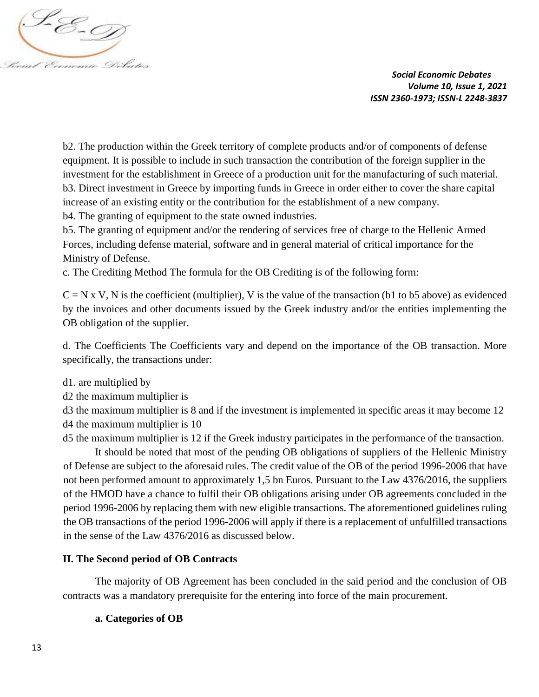

b2. The production within the Greek territory of complete products and/or of components of defense equipment. It is possible to include in such transaction the contribution of the foreign supplier in the investment for the establishment in Greece of a production unit for the manufacturing of such material. b3. Direct investment in Greece by importing funds in Greece in order either to cover the share capital increase of an existing entity or the contribution for the establishment of a new company. b4. The granting of equipment to the state owned industries.

b5. The granting of equipment and/or the rendering of services free of charge to the Hellenic Armed Forces, including defense material, software and in general material of critical importance for the Ministry of Defense.

c. The Crediting Method The formula for the OB Crediting is of the following form:

 $C = N x V$ , N is the coefficient (multiplier), V is the value of the transaction (b1 to b5 above) as evidenced by the invoices and other documents issued by the Greek industry and/or the entities implementing the OB obligation of the supplier.

d. The Coefficients The Coefficients vary and depend on the importance of the OB transaction. More specifically, the transactions under:

- d1. are multiplied by
- d2 the maximum multiplier is

d3 the maximum multiplier is 8 and if the investment is implemented in specific areas it may become 12 d4 the maximum multiplier is 10

d5 the maximum multiplier is 12 if the Greek industry participates in the performance of the transaction.

It should be noted that most of the pending OB obligations of suppliers of the Hellenic Ministry of Defense are subject to the aforesaid rules. The credit value of the OB of the period 1996-2006 that have not been performed amount to approximately 1,5 bn Euros. Pursuant to the Law 4376/2016, the suppliers of the HMOD have a chance to fulfil their OB obligations arising under OB agreements concluded in the period 1996-2006 by replacing them with new eligible transactions. The aforementioned guidelines ruling the OB transactions of the period 1996-2006 will apply if there is a replacement of unfulfilled transactions in the sense of the Law 4376/2016 as discussed below.

### **II. The Second period of OB Contracts**

The majority of OB Agreement has been concluded in the said period and the conclusion of OB contracts was a mandatory prerequisite for the entering into force of the main procurement.

#### **a. Categories of OB**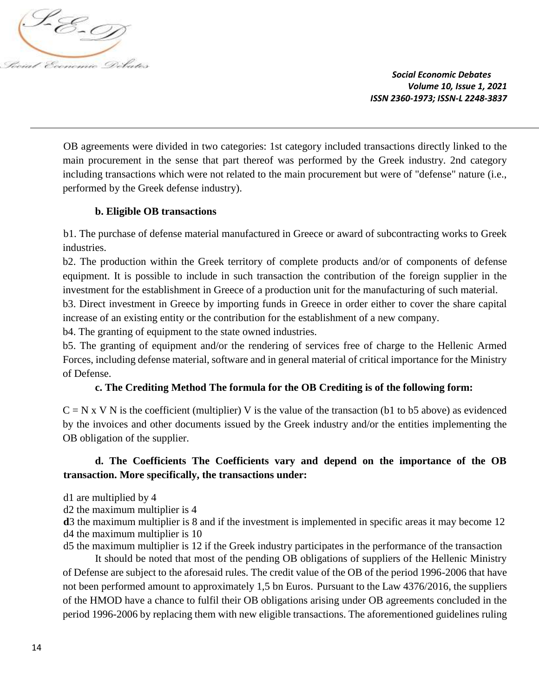

OB agreements were divided in two categories: 1st category included transactions directly linked to the main procurement in the sense that part thereof was performed by the Greek industry. 2nd category including transactions which were not related to the main procurement but were of "defense" nature (i.e., performed by the Greek defense industry).

## **b. Eligible OB transactions**

b1. The purchase of defense material manufactured in Greece or award of subcontracting works to Greek industries.

b2. The production within the Greek territory of complete products and/or of components of defense equipment. It is possible to include in such transaction the contribution of the foreign supplier in the investment for the establishment in Greece of a production unit for the manufacturing of such material.

b3. Direct investment in Greece by importing funds in Greece in order either to cover the share capital increase of an existing entity or the contribution for the establishment of a new company.

b4. The granting of equipment to the state owned industries.

b5. The granting of equipment and/or the rendering of services free of charge to the Hellenic Armed Forces, including defense material, software and in general material of critical importance for the Ministry of Defense.

## **c. The Crediting Method The formula for the OB Crediting is of the following form:**

 $C = N x V N$  is the coefficient (multiplier) V is the value of the transaction (b1 to b5 above) as evidenced by the invoices and other documents issued by the Greek industry and/or the entities implementing the OB obligation of the supplier.

## **d. The Coefficients The Coefficients vary and depend on the importance of the OB transaction. More specifically, the transactions under:**

d1 are multiplied by 4

d2 the maximum multiplier is 4

**d**3 the maximum multiplier is 8 and if the investment is implemented in specific areas it may become 12 d4 the maximum multiplier is 10

d5 the maximum multiplier is 12 if the Greek industry participates in the performance of the transaction It should be noted that most of the pending OB obligations of suppliers of the Hellenic Ministry of Defense are subject to the aforesaid rules. The credit value of the OB of the period 1996-2006 that have not been performed amount to approximately 1,5 bn Euros. Pursuant to the Law 4376/2016, the suppliers of the HMOD have a chance to fulfil their OB obligations arising under OB agreements concluded in the period 1996-2006 by replacing them with new eligible transactions. The aforementioned guidelines ruling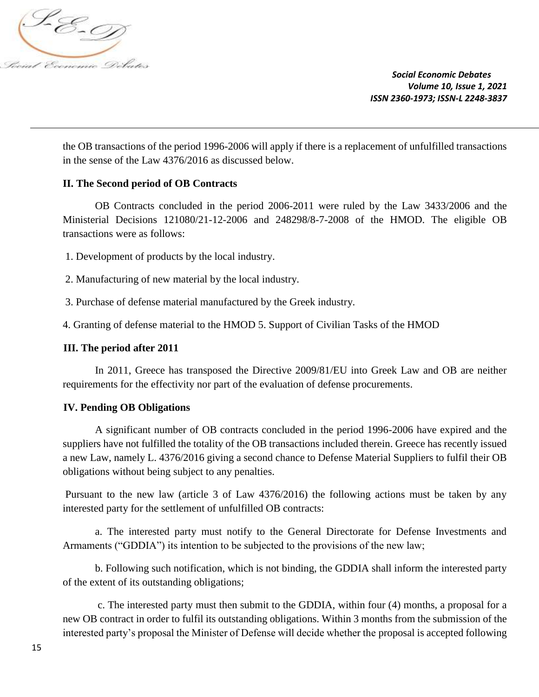

the OB transactions of the period 1996-2006 will apply if there is a replacement of unfulfilled transactions in the sense of the Law 4376/2016 as discussed below.

### **II. The Second period of OB Contracts**

OB Contracts concluded in the period 2006-2011 were ruled by the Law 3433/2006 and the Ministerial Decisions 121080/21-12-2006 and 248298/8-7-2008 of the HMOD. The eligible OB transactions were as follows:

1. Development of products by the local industry.

2. Manufacturing of new material by the local industry.

3. Purchase of defense material manufactured by the Greek industry.

4. Granting of defense material to the HMOD 5. Support of Civilian Tasks of the HMOD

#### **III. The period after 2011**

In 2011, Greece has transposed the Directive 2009/81/EU into Greek Law and OB are neither requirements for the effectivity nor part of the evaluation of defense procurements.

#### **IV. Pending OB Obligations**

A significant number of OB contracts concluded in the period 1996-2006 have expired and the suppliers have not fulfilled the totality of the OB transactions included therein. Greece has recently issued a new Law, namely L. 4376/2016 giving a second chance to Defense Material Suppliers to fulfil their OB obligations without being subject to any penalties.

Pursuant to the new law (article 3 of Law 4376/2016) the following actions must be taken by any interested party for the settlement of unfulfilled OB contracts:

a. The interested party must notify to the General Directorate for Defense Investments and Armaments ("GDDIA") its intention to be subjected to the provisions of the new law;

b. Following such notification, which is not binding, the GDDIA shall inform the interested party of the extent of its outstanding obligations;

c. The interested party must then submit to the GDDIA, within four (4) months, a proposal for a new OB contract in order to fulfil its outstanding obligations. Within 3 months from the submission of the interested party's proposal the Minister of Defense will decide whether the proposal is accepted following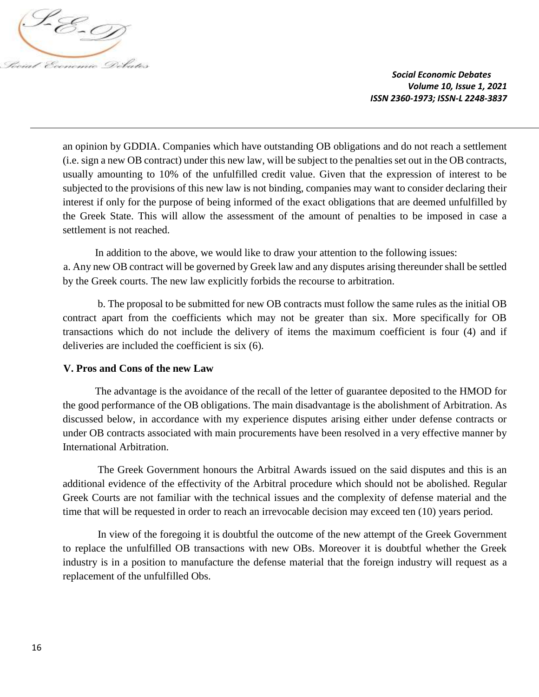

an opinion by GDDIA. Companies which have outstanding OB obligations and do not reach a settlement (i.e. sign a new OB contract) under this new law, will be subject to the penalties set out in the OB contracts, usually amounting to 10% of the unfulfilled credit value. Given that the expression of interest to be subjected to the provisions of this new law is not binding, companies may want to consider declaring their interest if only for the purpose of being informed of the exact obligations that are deemed unfulfilled by the Greek State. This will allow the assessment of the amount of penalties to be imposed in case a settlement is not reached.

In addition to the above, we would like to draw your attention to the following issues: a. Any new OB contract will be governed by Greek law and any disputes arising thereunder shall be settled by the Greek courts. The new law explicitly forbids the recourse to arbitration.

b. The proposal to be submitted for new OB contracts must follow the same rules as the initial OB contract apart from the coefficients which may not be greater than six. More specifically for OB transactions which do not include the delivery of items the maximum coefficient is four (4) and if deliveries are included the coefficient is six (6).

### **V. Pros and Cons of the new Law**

The advantage is the avoidance of the recall of the letter of guarantee deposited to the HMOD for the good performance of the OB obligations. The main disadvantage is the abolishment of Arbitration. As discussed below, in accordance with my experience disputes arising either under defense contracts or under OB contracts associated with main procurements have been resolved in a very effective manner by International Arbitration.

The Greek Government honours the Arbitral Awards issued on the said disputes and this is an additional evidence of the effectivity of the Arbitral procedure which should not be abolished. Regular Greek Courts are not familiar with the technical issues and the complexity of defense material and the time that will be requested in order to reach an irrevocable decision may exceed ten (10) years period.

In view of the foregoing it is doubtful the outcome of the new attempt of the Greek Government to replace the unfulfilled OB transactions with new OBs. Moreover it is doubtful whether the Greek industry is in a position to manufacture the defense material that the foreign industry will request as a replacement of the unfulfilled Obs.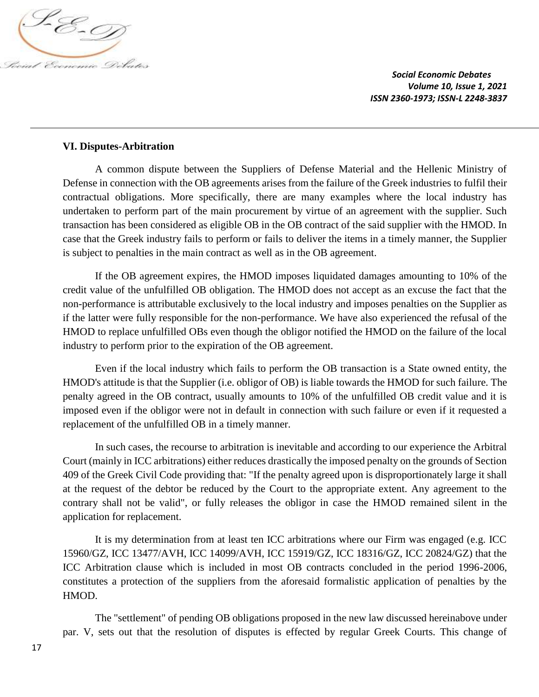

### **VI. Disputes-Arbitration**

A common dispute between the Suppliers of Defense Material and the Hellenic Ministry of Defense in connection with the OB agreements arises from the failure of the Greek industries to fulfil their contractual obligations. More specifically, there are many examples where the local industry has undertaken to perform part of the main procurement by virtue of an agreement with the supplier. Such transaction has been considered as eligible OB in the OB contract of the said supplier with the HMOD. In case that the Greek industry fails to perform or fails to deliver the items in a timely manner, the Supplier is subject to penalties in the main contract as well as in the OB agreement.

If the OB agreement expires, the HMOD imposes liquidated damages amounting to 10% of the credit value of the unfulfilled OB obligation. The HMOD does not accept as an excuse the fact that the non-performance is attributable exclusively to the local industry and imposes penalties on the Supplier as if the latter were fully responsible for the non-performance. We have also experienced the refusal of the HMOD to replace unfulfilled OBs even though the obligor notified the HMOD on the failure of the local industry to perform prior to the expiration of the OB agreement.

Even if the local industry which fails to perform the OB transaction is a State owned entity, the HMOD's attitude is that the Supplier (i.e. obligor of OB) is liable towards the HMOD for such failure. The penalty agreed in the OB contract, usually amounts to 10% of the unfulfilled OB credit value and it is imposed even if the obligor were not in default in connection with such failure or even if it requested a replacement of the unfulfilled OB in a timely manner.

In such cases, the recourse to arbitration is inevitable and according to our experience the Arbitral Court (mainly in ICC arbitrations) either reduces drastically the imposed penalty on the grounds of Section 409 of the Greek Civil Code providing that: "If the penalty agreed upon is disproportionately large it shall at the request of the debtor be reduced by the Court to the appropriate extent. Any agreement to the contrary shall not be valid", or fully releases the obligor in case the HMOD remained silent in the application for replacement.

It is my determination from at least ten ICC arbitrations where our Firm was engaged (e.g. ICC 15960/GZ, ICC 13477/AVH, ICC 14099/AVH, ICC 15919/GZ, ICC 18316/GZ, ICC 20824/GZ) that the ICC Arbitration clause which is included in most OB contracts concluded in the period 1996-2006, constitutes a protection of the suppliers from the aforesaid formalistic application of penalties by the HMOD.

The "settlement" of pending OB obligations proposed in the new law discussed hereinabove under par. V, sets out that the resolution of disputes is effected by regular Greek Courts. This change of